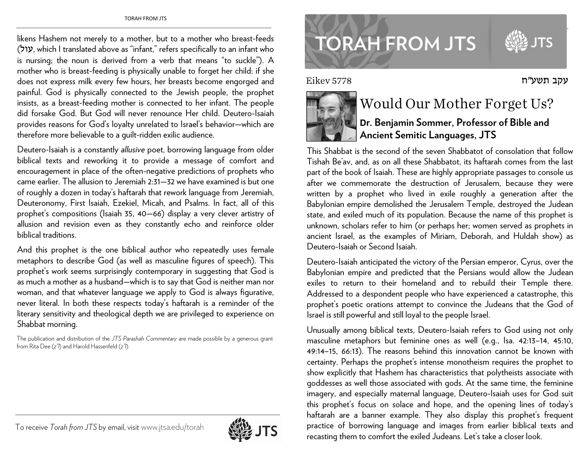likens Hashem not merely to a mother, but to a mother who breast-feeds  $($ עול), which I translated above as "infant," refers specifically to an infant who is nursing; the noun is derived from a verb that means "to suckle"). A mother who is breast-feeding is physically unable to forget her child: if she does not express milk every few hours, her breasts become engorged and painful. God is physically connected to the Jewish people, the prophet insists, as a breast-feeding mother is connected to her infant. The people did forsake God. But God will never renounce Her child. Deutero-Isaiah provides reasons for God's loyalty unrelated to Israel's behavior—which are therefore more believable to a guilt-ridden exilic audience.

Deutero-Isaiah is a constantly *allusive* poet, borrowing language from older biblical texts and reworking it to provide a message of comfort and encouragement in place of the often-negative predictions of prophets who came earlier. The allusion to Jeremiah 2:31—32 we have examined is but one of roughly a dozen in today's haftarah that rework language from Jeremiah, Deuteronomy, First Isaiah, Ezekiel, Micah, and Psalms. In fact, all of this prophet's compositions (Isaiah 35, 40—66) display a very clever artistry of allusion and revision even as they constantly echo and reinforce older biblical traditions.

And this prophet is the one biblical author who repeatedly uses female metaphors to describe God (as well as masculine figures of speech). This prophet's work seems surprisingly contemporary in suggesting that God is as much a mother as a husband—which is to say that God is neither man nor woman, and that whatever language we apply to God is always figurative, never literal. In both these respects today's haftarah is a reminder of the literary sensitivity and theological depth we are privileged to experience on Shabbat morning.

The publication and distribution of the *JTS Parashah Commentary* are made possible by a generous grant from Rita Dee (*z"l*) and Harold Hassenfeld (*z"l*).



## To receive *Torah from JTS* by email, visitwww.jtsa.edu/torah



## **TORAH FROM JTS**

Eikev 5778



## Would Our Mother Forget Us?

עקב תשע״ח

**Dr. Benjamin Sommer, Professor of Bible and Ancient Semitic Languages, JTS**

This Shabbat is the second of the seven Shabbatot of consolation that follow Tishah Be'av, and, as on all these Shabbatot, its haftarah comes from the last part of the book of Isaiah. These are highly appropriate passages to console us after we commemorate the destruction of Jerusalem, because they were written by a prophet who lived in exile roughly a generation after the Babylonian empire demolished the Jerusalem Temple, destroyed the Judean state, and exiled much of its population. Because the name of this prophet is unknown, scholars refer to him (or perhaps her; women served as prophets in ancient Israel, as the examples of Miriam, Deborah, and Huldah show) as Deutero-Isaiah or Second Isaiah.

Deutero-Isaiah anticipated the victory of the Persian emperor, Cyrus, over the Babylonian empire and predicted that the Persians would allow the Judean exiles to return to their homeland and to rebuild their Temple there. Addressed to a despondent people who have experienced a catastrophe, this prophet's poetic orations attempt to convince the Judeans that the God of Israel is still powerful and still loyal to the people Israel.

Unusually among biblical texts, Deutero-Isaiah refers to God using not only masculine metaphors but feminine ones as well (e.g., Isa. 42:13–14, 45:10, 49:14–15, 66:13). The reasons behind this innovation cannot be known with certainty. Perhaps the prophet's intense monotheism requires the prophet to show explicitly that Hashem has characteristics that polytheists associate with goddesses as well those associated with gods. At the same time, the feminine imagery, and especially maternal language, Deutero-Isaiah uses for God suit this prophet's focus on solace and hope, and the opening lines of today's haftarah are a banner example. They also display this prophet's frequent practice of borrowing language and images from earlier biblical texts and recasting them to comfort the exiled Judeans. Let's take a closer look.